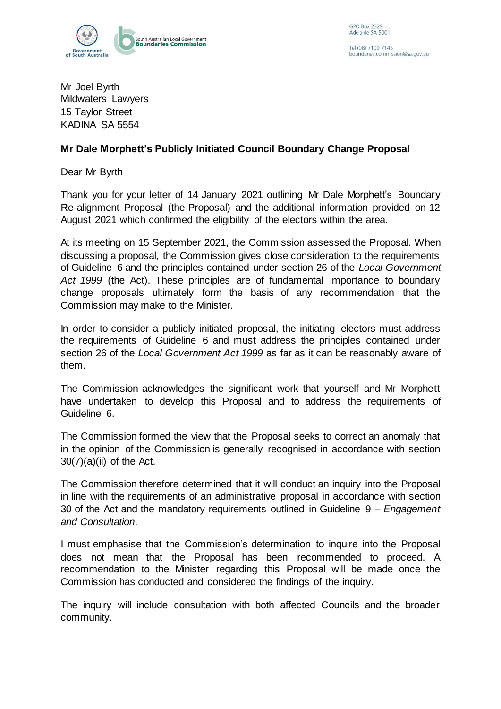

Tel (08) 7109 7145 boundaries.commission@sa.gov.au

Mr Joel Byrth Mildwaters Lawyers 15 Taylor Street KADINA SA 5554

## **Mr Dale Morphett's Publicly Initiated Council Boundary Change Proposal**

Dear Mr Byrth

Thank you for your letter of 14 January 2021 outlining Mr Dale Morphett's Boundary Re-alignment Proposal (the Proposal) and the additional information provided on 12 August 2021 which confirmed the eligibility of the electors within the area.

At its meeting on 15 September 2021, the Commission assessed the Proposal. When discussing a proposal, the Commission gives close consideration to the requirements of Guideline 6 and the principles contained under section 26 of the *Local Government Act 1999* (the Act). These principles are of fundamental importance to boundary change proposals ultimately form the basis of any recommendation that the Commission may make to the Minister.

In order to consider a publicly initiated proposal, the initiating electors must address the requirements of Guideline 6 and must address the principles contained under section 26 of the *Local Government Act 1999* as far as it can be reasonably aware of them.

The Commission acknowledges the significant work that yourself and Mr Morphett have undertaken to develop this Proposal and to address the requirements of Guideline 6.

The Commission formed the view that the Proposal seeks to correct an anomaly that in the opinion of the Commission is generally recognised in accordance with section  $30(7)(a)(ii)$  of the Act.

The Commission therefore determined that it will conduct an inquiry into the Proposal in line with the requirements of an administrative proposal in accordance with section 30 of the Act and the mandatory requirements outlined in Guideline 9 *– Engagement and Consultation*.

I must emphasise that the Commission's determination to inquire into the Proposal does not mean that the Proposal has been recommended to proceed. A recommendation to the Minister regarding this Proposal will be made once the Commission has conducted and considered the findings of the inquiry.

The inquiry will include consultation with both affected Councils and the broader community.